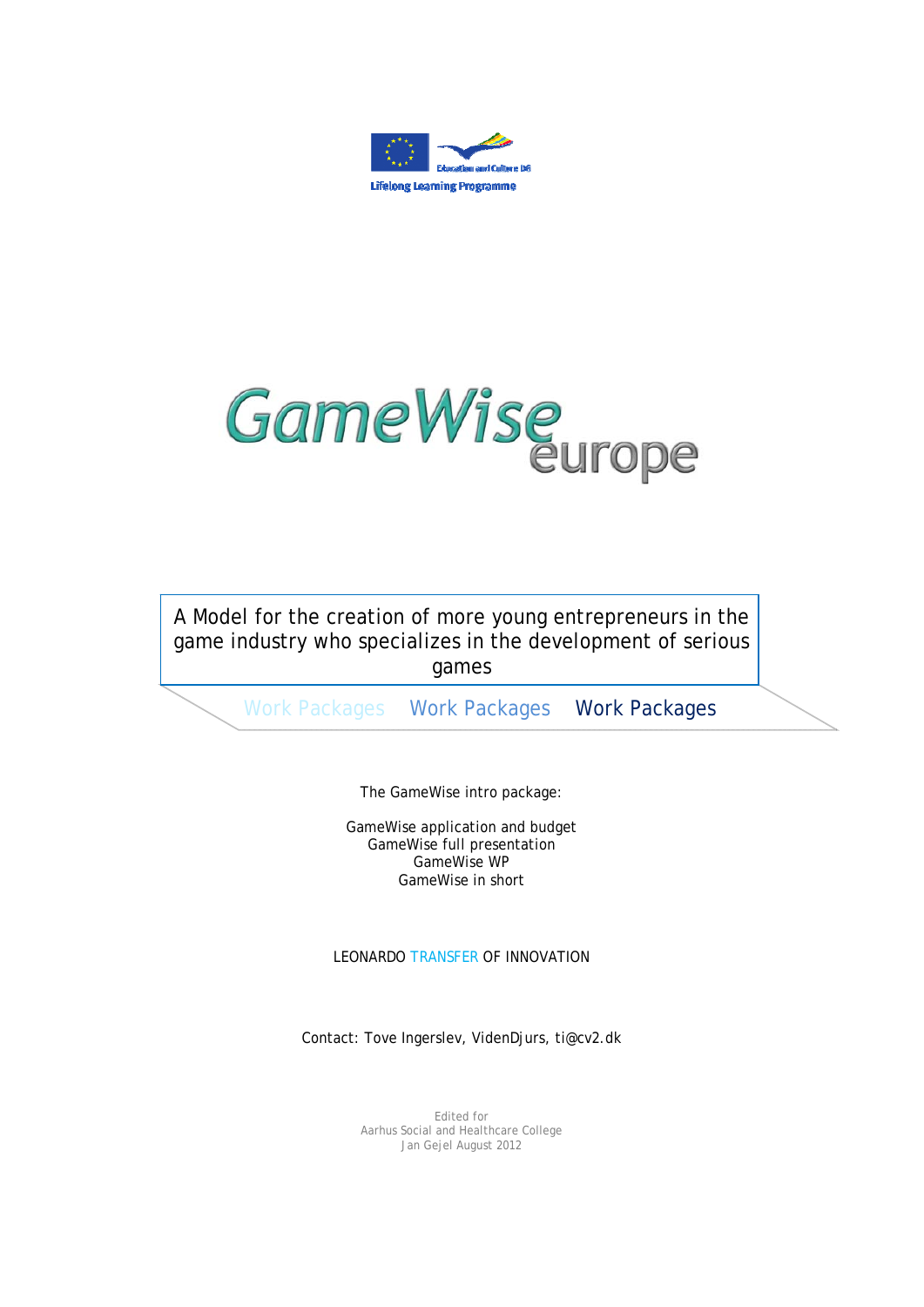



A Model for the creation of more young entrepreneurs in the game industry who specializes in the development of serious games

Work Packages Work Packages Work Packages

The GameWise intro package:

GameWise application and budget GameWise full presentation GameWise WP GameWise in short

LEONARDO TRANSFER OF INNOVATION

Contact: Tove Ingerslev, VidenDjurs, ti@cv2.dk

Edited for Aarhus Social and Healthcare College Jan Gejel August 2012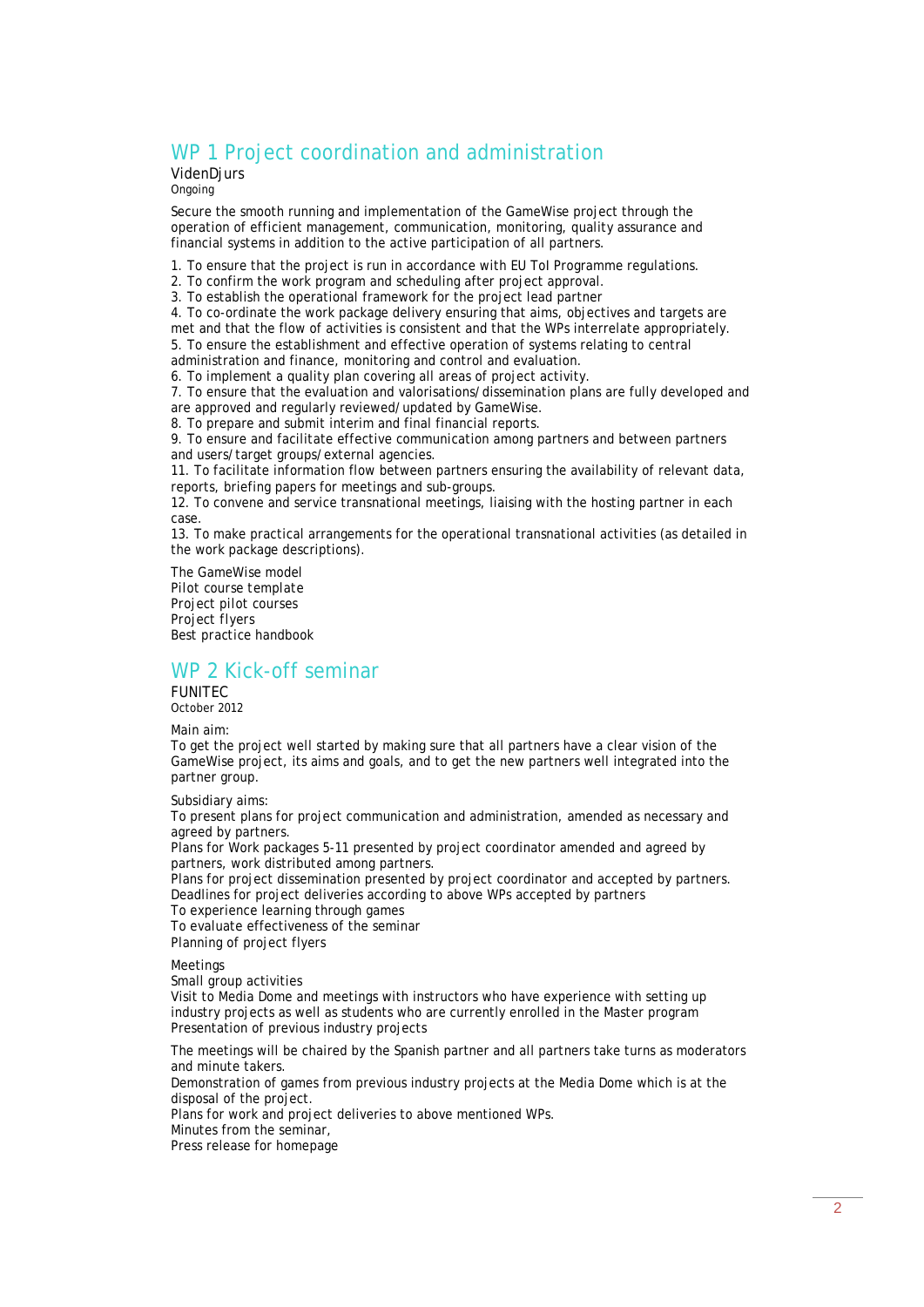# WP 1 Project coordination and administration

VidenDjurs

Ongoing

Secure the smooth running and implementation of the GameWise project through the operation of efficient management, communication, monitoring, quality assurance and financial systems in addition to the active participation of all partners.

- 1. To ensure that the project is run in accordance with EU ToI Programme regulations.
- 2. To confirm the work program and scheduling after project approval.
- 3. To establish the operational framework for the project lead partner

4. To co-ordinate the work package delivery ensuring that aims, objectives and targets are met and that the flow of activities is consistent and that the WPs interrelate appropriately.

5. To ensure the establishment and effective operation of systems relating to central

administration and finance, monitoring and control and evaluation. 6. To implement a quality plan covering all areas of project activity.

7. To ensure that the evaluation and valorisations/dissemination plans are fully developed and are approved and regularly reviewed/updated by GameWise.

8. To prepare and submit interim and final financial reports.

9. To ensure and facilitate effective communication among partners and between partners and users/target groups/external agencies.

11. To facilitate information flow between partners ensuring the availability of relevant data, reports, briefing papers for meetings and sub-groups.

12. To convene and service transnational meetings, liaising with the hosting partner in each case.

13. To make practical arrangements for the operational transnational activities (as detailed in the work package descriptions).

*The GameWise model Pilot course template Project pilot courses Project flyers Best practice handbook* 

### WP 2 Kick-off seminar

FUNITEC October 2012

Main aim:

To get the project well started by making sure that all partners have a clear vision of the GameWise project, its aims and goals, and to get the new partners well integrated into the partner group.

Subsidiary aims:

To present plans for project communication and administration, amended as necessary and agreed by partners.

Plans for Work packages 5-11 presented by project coordinator amended and agreed by partners, work distributed among partners.

Plans for project dissemination presented by project coordinator and accepted by partners. Deadlines for project deliveries according to above WPs accepted by partners

To experience learning through games

To evaluate effectiveness of the seminar

Planning of project flyers

Meetings

Small group activities

Visit to Media Dome and meetings with instructors who have experience with setting up industry projects as well as students who are currently enrolled in the Master program Presentation of previous industry projects

The meetings will be chaired by the Spanish partner and all partners take turns as moderators and minute takers.

Demonstration of games from previous industry projects at the Media Dome which is at the disposal of the project.

Plans for work and project deliveries to above mentioned WPs.

Minutes from the seminar,

Press release for homepage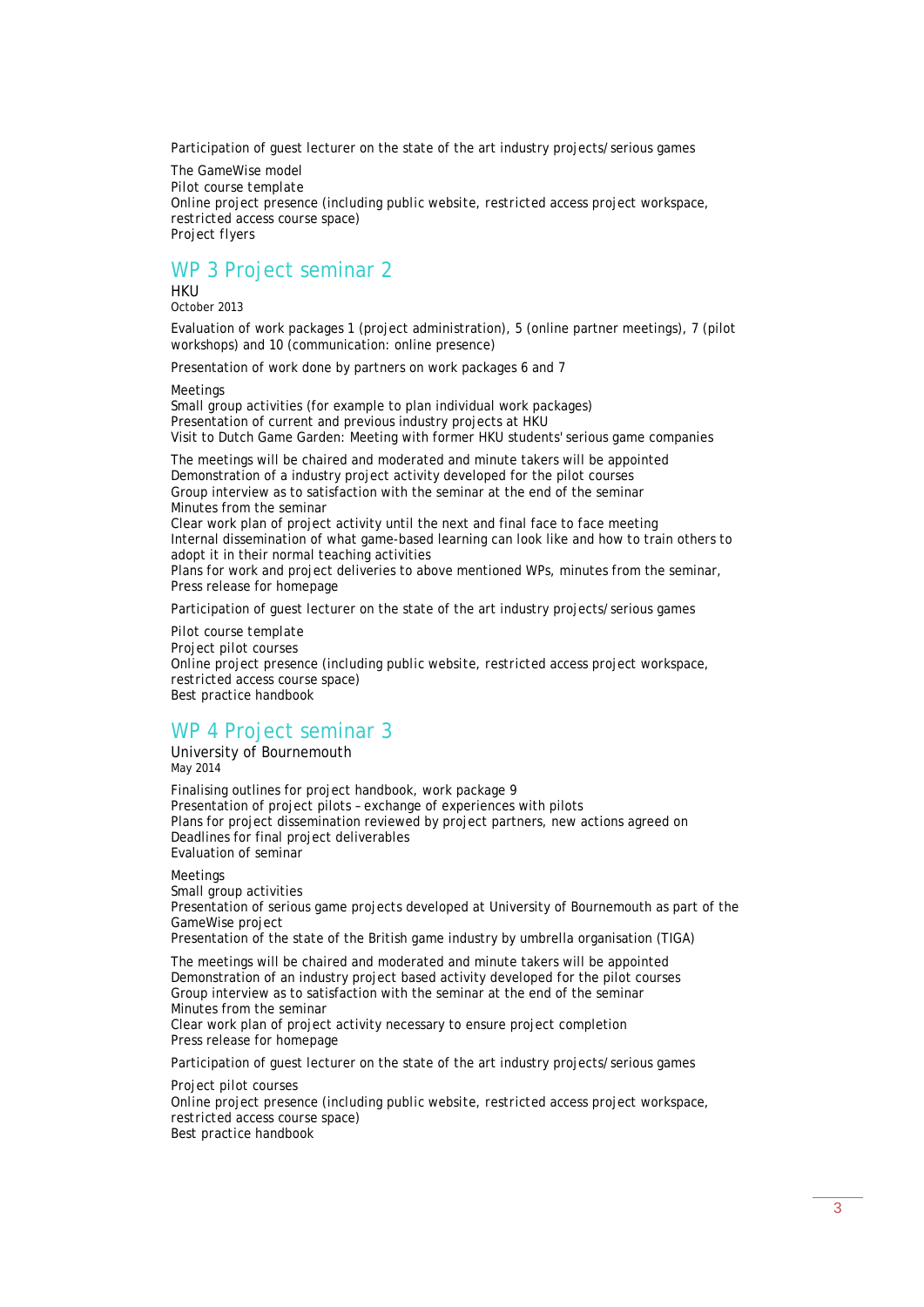Participation of guest lecturer on the state of the art industry projects/serious games

*The GameWise model Pilot course template Online project presence (including public website, restricted access project workspace, restricted access course space) Project flyers* 

## WP 3 Project seminar 2

HKU October 2013

Evaluation of work packages 1 (project administration), 5 (online partner meetings), 7 (pilot workshops) and 10 (communication: online presence)

Presentation of work done by partners on work packages 6 and 7

Meetings

Small group activities (for example to plan individual work packages) Presentation of current and previous industry projects at HKU Visit to Dutch Game Garden: Meeting with former HKU students' serious game companies

The meetings will be chaired and moderated and minute takers will be appointed Demonstration of a industry project activity developed for the pilot courses Group interview as to satisfaction with the seminar at the end of the seminar Minutes from the seminar Clear work plan of project activity until the next and final face to face meeting Internal dissemination of what game-based learning can look like and how to train others to

adopt it in their normal teaching activities Plans for work and project deliveries to above mentioned WPs, minutes from the seminar, Press release for homepage

Participation of guest lecturer on the state of the art industry projects/serious games

*Pilot course template* 

*Project pilot courses Online project presence (including public website, restricted access project workspace, restricted access course space) Best practice handbook* 

#### WP 4 Project seminar 3

University of Bournemouth May 2014

Finalising outlines for project handbook, work package 9 Presentation of project pilots – exchange of experiences with pilots Plans for project dissemination reviewed by project partners, new actions agreed on Deadlines for final project deliverables Evaluation of seminar

Meetings

Small group activities Presentation of serious game projects developed at University of Bournemouth as part of the GameWise project Presentation of the state of the British game industry by umbrella organisation (TIGA) The meetings will be chaired and moderated and minute takers will be appointed

Demonstration of an industry project based activity developed for the pilot courses Group interview as to satisfaction with the seminar at the end of the seminar Minutes from the seminar

Clear work plan of project activity necessary to ensure project completion Press release for homepage

Participation of guest lecturer on the state of the art industry projects/serious games

*Project pilot courses Online project presence (including public website, restricted access project workspace, restricted access course space) Best practice handbook*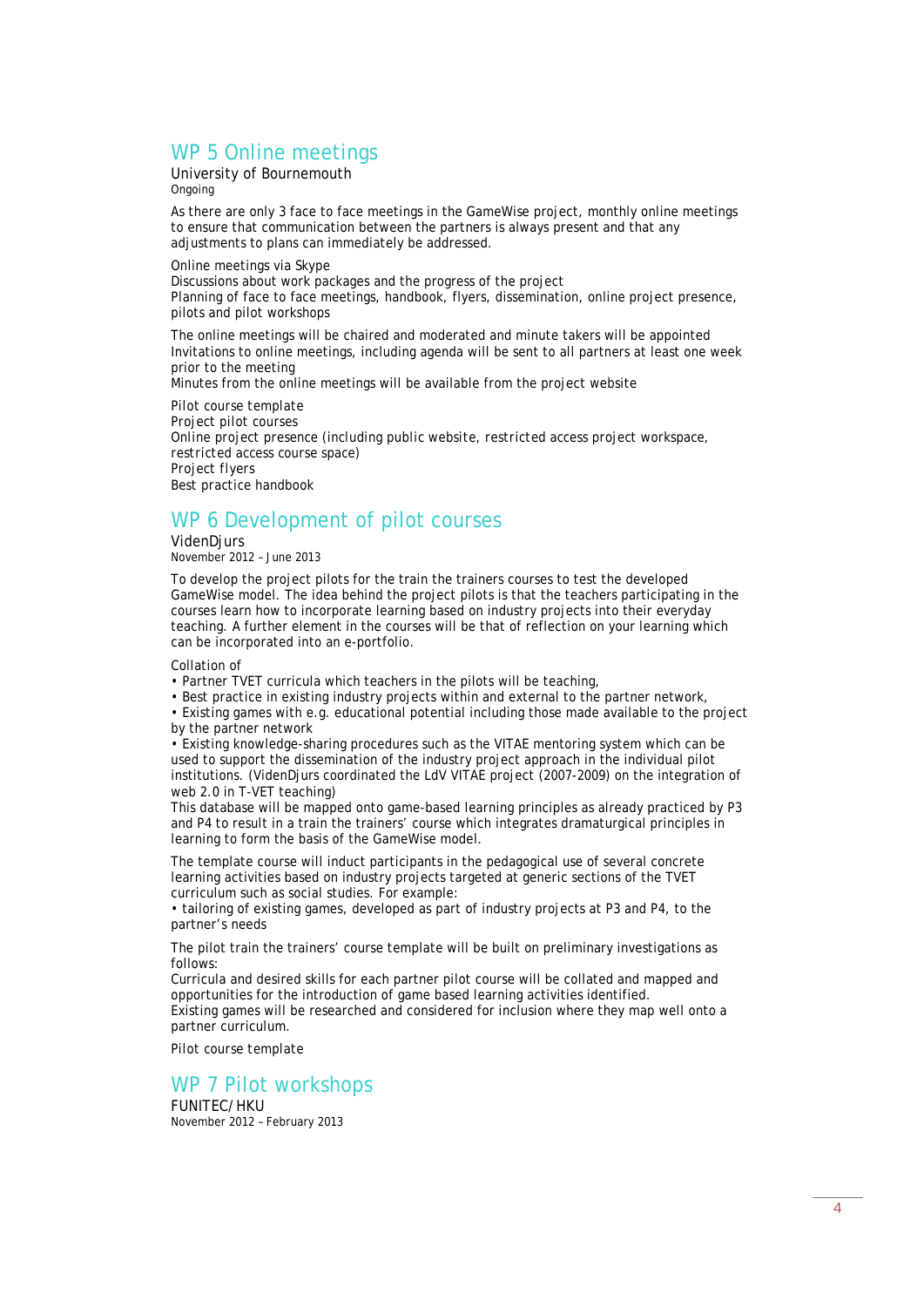# WP 5 Online meetings

University of Bournemouth Ongoing

As there are only 3 face to face meetings in the GameWise project, monthly online meetings to ensure that communication between the partners is always present and that any adjustments to plans can immediately be addressed.

Online meetings via Skype Discussions about work packages and the progress of the project Planning of face to face meetings, handbook, flyers, dissemination, online project presence, pilots and pilot workshops

The online meetings will be chaired and moderated and minute takers will be appointed Invitations to online meetings, including agenda will be sent to all partners at least one week prior to the meeting

Minutes from the online meetings will be available from the project website

*Pilot course template Project pilot courses Online project presence (including public website, restricted access project workspace, restricted access course space) Project flyers Best practice handbook* 

## WP 6 Development of pilot courses

VidenDjurs November 2012 – June 2013

To develop the project pilots for the train the trainers courses to test the developed GameWise model. The idea behind the project pilots is that the teachers participating in the courses learn how to incorporate learning based on industry projects into their everyday teaching. A further element in the courses will be that of reflection on your learning which can be incorporated into an e-portfolio.

Collation of

- Partner TVET curricula which teachers in the pilots will be teaching,
- Best practice in existing industry projects within and external to the partner network,

• Existing games with e.g. educational potential including those made available to the project by the partner network

• Existing knowledge-sharing procedures such as the VITAE mentoring system which can be used to support the dissemination of the industry project approach in the individual pilot institutions. (VidenDjurs coordinated the LdV VITAE project (2007-2009) on the integration of web 2.0 in T-VET teaching)

This database will be mapped onto game-based learning principles as already practiced by P3 and P4 to result in a train the trainers' course which integrates dramaturgical principles in learning to form the basis of the GameWise model.

The template course will induct participants in the pedagogical use of several concrete learning activities based on industry projects targeted at generic sections of the TVET curriculum such as social studies. For example:

• tailoring of existing games, developed as part of industry projects at P3 and P4, to the partner's needs

The pilot train the trainers' course template will be built on preliminary investigations as follows:

Curricula and desired skills for each partner pilot course will be collated and mapped and opportunities for the introduction of game based learning activities identified.

Existing games will be researched and considered for inclusion where they map well onto a partner curriculum.

*Pilot course template* 

#### WP 7 Pilot workshops

FUNITEC/HKU November 2012 – February 2013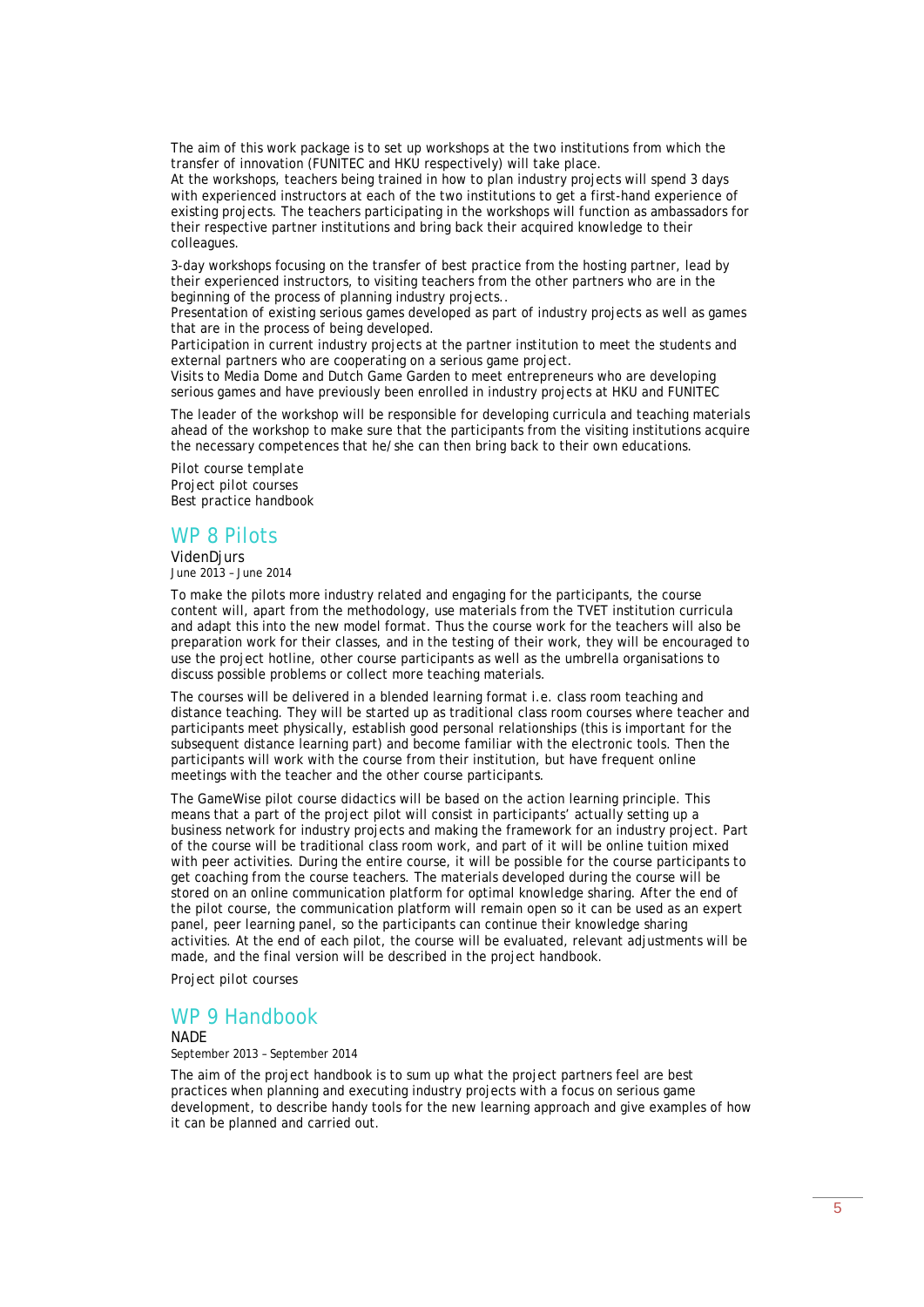The aim of this work package is to set up workshops at the two institutions from which the transfer of innovation (FUNITEC and HKU respectively) will take place.

At the workshops, teachers being trained in how to plan industry projects will spend 3 days with experienced instructors at each of the two institutions to get a first-hand experience of existing projects. The teachers participating in the workshops will function as ambassadors for their respective partner institutions and bring back their acquired knowledge to their colleagues.

3-day workshops focusing on the transfer of best practice from the hosting partner, lead by their experienced instructors, to visiting teachers from the other partners who are in the beginning of the process of planning industry projects..

Presentation of existing serious games developed as part of industry projects as well as games that are in the process of being developed.

Participation in current industry projects at the partner institution to meet the students and external partners who are cooperating on a serious game project.

Visits to Media Dome and Dutch Game Garden to meet entrepreneurs who are developing serious games and have previously been enrolled in industry projects at HKU and FUNITEC

The leader of the workshop will be responsible for developing curricula and teaching materials ahead of the workshop to make sure that the participants from the visiting institutions acquire the necessary competences that he/she can then bring back to their own educations.

*Pilot course template Project pilot courses Best practice handbook* 

### WP 8 Pilots

VidenDjurs June 2013 – June 2014

To make the pilots more industry related and engaging for the participants, the course content will, apart from the methodology, use materials from the TVET institution curricula and adapt this into the new model format. Thus the course work for the teachers will also be preparation work for their classes, and in the testing of their work, they will be encouraged to use the project hotline, other course participants as well as the umbrella organisations to discuss possible problems or collect more teaching materials.

The courses will be delivered in a blended learning format i.e. class room teaching and distance teaching. They will be started up as traditional class room courses where teacher and participants meet physically, establish good personal relationships (this is important for the subsequent distance learning part) and become familiar with the electronic tools. Then the participants will work with the course from their institution, but have frequent online meetings with the teacher and the other course participants.

The GameWise pilot course didactics will be based on the action learning principle. This means that a part of the project pilot will consist in participants' actually setting up a business network for industry projects and making the framework for an industry project. Part of the course will be traditional class room work, and part of it will be online tuition mixed with peer activities. During the entire course, it will be possible for the course participants to get coaching from the course teachers. The materials developed during the course will be stored on an online communication platform for optimal knowledge sharing. After the end of the pilot course, the communication platform will remain open so it can be used as an expert panel, peer learning panel, so the participants can continue their knowledge sharing activities. At the end of each pilot, the course will be evaluated, relevant adjustments will be made, and the final version will be described in the project handbook.

*Project pilot courses* 

### WP 9 Handbook

**NADE** September 2013 – September 2014

The aim of the project handbook is to sum up what the project partners feel are best practices when planning and executing industry projects with a focus on serious game development, to describe handy tools for the new learning approach and give examples of how it can be planned and carried out.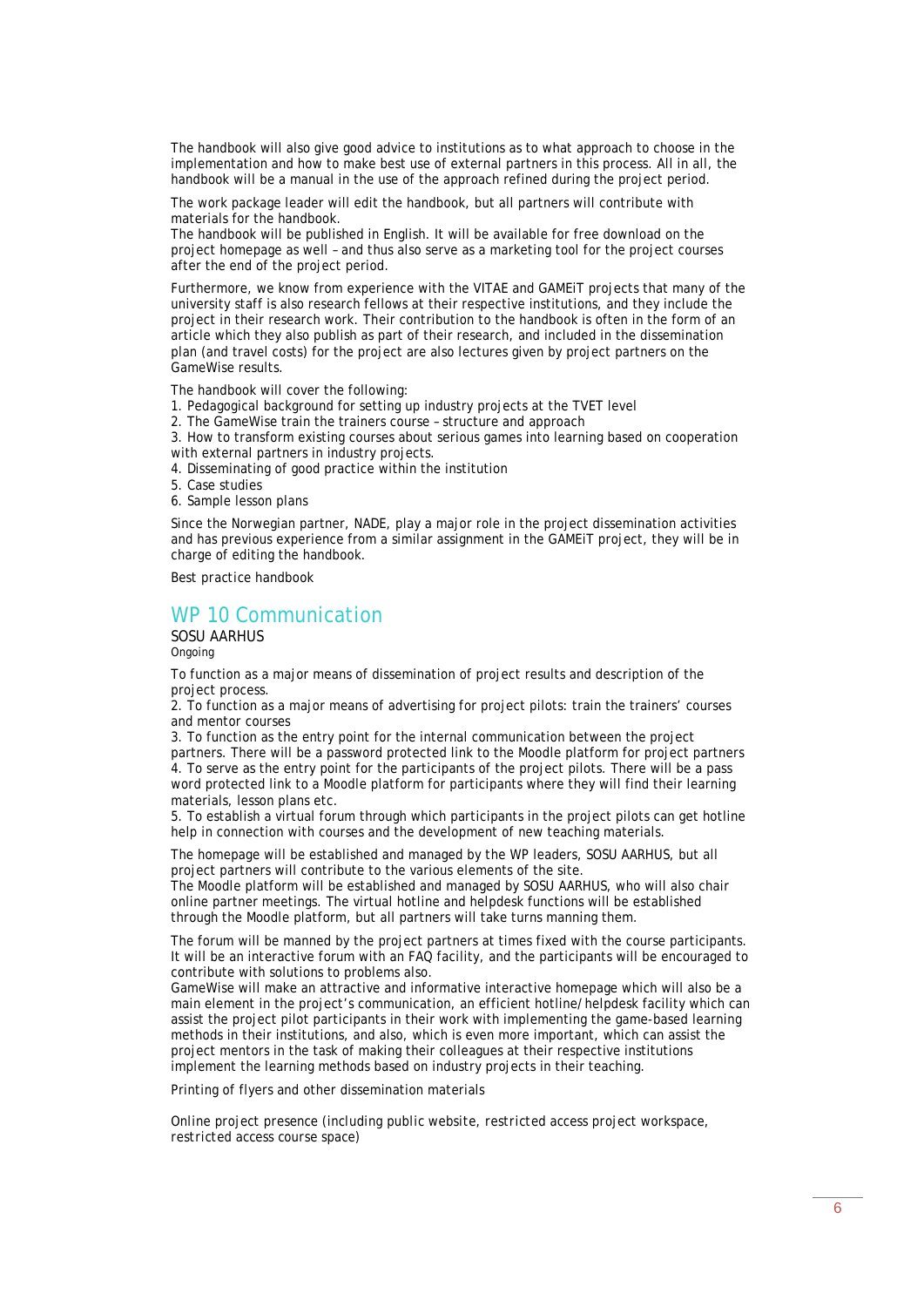The handbook will also give good advice to institutions as to what approach to choose in the implementation and how to make best use of external partners in this process. All in all, the handbook will be a manual in the use of the approach refined during the project period.

The work package leader will edit the handbook, but all partners will contribute with materials for the handbook.

The handbook will be published in English. It will be available for free download on the project homepage as well – and thus also serve as a marketing tool for the project courses after the end of the project period.

Furthermore, we know from experience with the VITAE and GAMEiT projects that many of the university staff is also research fellows at their respective institutions, and they include the project in their research work. Their contribution to the handbook is often in the form of an article which they also publish as part of their research, and included in the dissemination plan (and travel costs) for the project are also lectures given by project partners on the GameWise results.

The handbook will cover the following:

1. Pedagogical background for setting up industry projects at the TVET level

2. The GameWise train the trainers course – structure and approach

3. How to transform existing courses about serious games into learning based on cooperation with external partners in industry projects.

- 4. Disseminating of good practice within the institution
- 5. Case studies
- 6. Sample lesson plans

Since the Norwegian partner, NADE, play a major role in the project dissemination activities and has previous experience from a similar assignment in the GAMEiT project, they will be in charge of editing the handbook.

*Best practice handbook* 

### WP 10 Communication

SOSU AARHUS Ongoing

To function as a major means of dissemination of project results and description of the project process.

2. To function as a major means of advertising for project pilots: train the trainers' courses and mentor courses

3. To function as the entry point for the internal communication between the project partners. There will be a password protected link to the Moodle platform for project partners 4. To serve as the entry point for the participants of the project pilots. There will be a pass word protected link to a Moodle platform for participants where they will find their learning materials, lesson plans etc.

5. To establish a virtual forum through which participants in the project pilots can get hotline help in connection with courses and the development of new teaching materials.

The homepage will be established and managed by the WP leaders, SOSU AARHUS, but all project partners will contribute to the various elements of the site.

The Moodle platform will be established and managed by SOSU AARHUS, who will also chair online partner meetings. The virtual hotline and helpdesk functions will be established through the Moodle platform, but all partners will take turns manning them.

The forum will be manned by the project partners at times fixed with the course participants. It will be an interactive forum with an FAQ facility, and the participants will be encouraged to contribute with solutions to problems also.

GameWise will make an attractive and informative interactive homepage which will also be a main element in the project's communication, an efficient hotline/helpdesk facility which can assist the project pilot participants in their work with implementing the game-based learning methods in their institutions, and also, which is even more important, which can assist the project mentors in the task of making their colleagues at their respective institutions implement the learning methods based on industry projects in their teaching.

Printing of flyers and other dissemination materials

*Online project presence (including public website, restricted access project workspace, restricted access course space)*